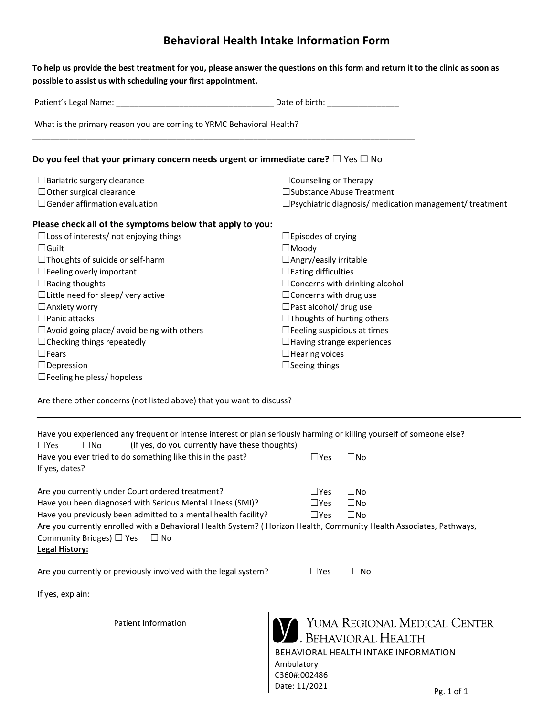## **Behavioral Health Intake Information Form**

| What is the primary reason you are coming to YRMC Behavioral Health?                                                                                                                                    |                                                                   |
|---------------------------------------------------------------------------------------------------------------------------------------------------------------------------------------------------------|-------------------------------------------------------------------|
| Do you feel that your primary concern needs urgent or immediate care? $\Box$ Yes $\Box$ No                                                                                                              |                                                                   |
| $\Box$ Bariatric surgery clearance                                                                                                                                                                      | $\Box$ Counseling or Therapy                                      |
| $\Box$ Other surgical clearance                                                                                                                                                                         | □ Substance Abuse Treatment                                       |
| $\Box$ Gender affirmation evaluation                                                                                                                                                                    | $\square$ Psychiatric diagnosis/ medication management/ treatment |
| Please check all of the symptoms below that apply to you:                                                                                                                                               |                                                                   |
| $\Box$ Loss of interests/ not enjoying things                                                                                                                                                           | $\Box$ Episodes of crying                                         |
| $\Box$ Guilt                                                                                                                                                                                            | $\Box$ Moody                                                      |
| $\Box$ Thoughts of suicide or self-harm                                                                                                                                                                 | $\Box$ Angry/easily irritable                                     |
| $\Box$ Feeling overly important                                                                                                                                                                         | $\Box$ Eating difficulties                                        |
| $\Box$ Racing thoughts                                                                                                                                                                                  | $\Box$ Concerns with drinking alcohol                             |
| $\Box$ Little need for sleep/ very active                                                                                                                                                               | $\Box$ Concerns with drug use                                     |
| $\Box$ Anxiety worry                                                                                                                                                                                    | $\Box$ Past alcohol/ drug use                                     |
| $\square$ Panic attacks                                                                                                                                                                                 | $\Box$ Thoughts of hurting others                                 |
| $\Box$ Avoid going place/ avoid being with others                                                                                                                                                       | $\Box$ Feeling suspicious at times                                |
| $\Box$ Checking things repeatedly                                                                                                                                                                       | $\Box$ Having strange experiences                                 |
| $\Box$ Fears                                                                                                                                                                                            | $\Box$ Hearing voices                                             |
| $\Box$ Depression                                                                                                                                                                                       | $\Box$ Seeing things                                              |
| $\Box$ Feeling helpless/ hopeless                                                                                                                                                                       |                                                                   |
|                                                                                                                                                                                                         |                                                                   |
| Are there other concerns (not listed above) that you want to discuss?                                                                                                                                   |                                                                   |
| Have you experienced any frequent or intense interest or plan seriously harming or killing yourself of someone else?<br>$\square$ Yes<br>$\square$ No<br>(If yes, do you currently have these thoughts) |                                                                   |
| Have you ever tried to do something like this in the past?                                                                                                                                              | $\square$ Yes<br>$\square$ No                                     |
| If yes, dates?                                                                                                                                                                                          |                                                                   |
| Are you currently under Court ordered treatment?                                                                                                                                                        | $\square$ No<br>$\Box$ Yes                                        |
| Have you been diagnosed with Serious Mental Illness (SMI)?                                                                                                                                              | $\square$ Yes<br>$\square$ No                                     |
| Have you previously been admitted to a mental health facility?                                                                                                                                          | $\square$ Yes<br>$\square$ No                                     |
| Are you currently enrolled with a Behavioral Health System? (Horizon Health, Community Health Associates, Pathways,                                                                                     |                                                                   |
| Community Bridges) $\Box$ Yes $\Box$ No<br>Legal History:                                                                                                                                               |                                                                   |
| Are you currently or previously involved with the legal system?                                                                                                                                         | $\square$ Yes<br>$\square$ No                                     |
|                                                                                                                                                                                                         |                                                                   |
|                                                                                                                                                                                                         |                                                                   |
|                                                                                                                                                                                                         |                                                                   |
| <b>Patient Information</b>                                                                                                                                                                              | YUMA REGIONAL MEDICAL CENTER                                      |
|                                                                                                                                                                                                         | <u>L</u> Behavioral Health                                        |
|                                                                                                                                                                                                         | BEHAVIORAL HEALTH INTAKE INFORMATION                              |

C360#:002486 Date: 11/2021